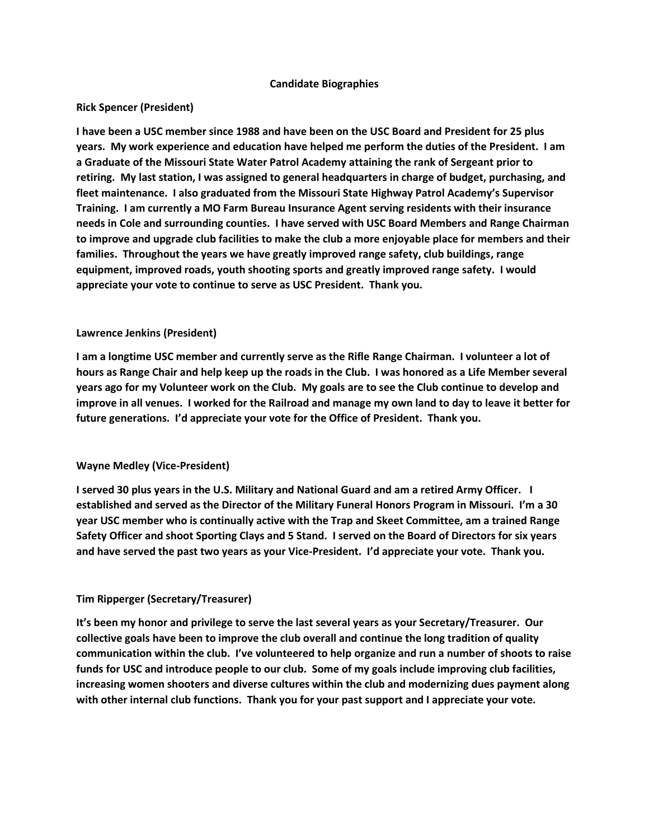#### **Candidate Biographies**

## **Rick Spencer (President)**

**I have been a USC member since 1988 and have been on the USC Board and President for 25 plus years. My work experience and education have helped me perform the duties of the President. I am a Graduate of the Missouri State Water Patrol Academy attaining the rank of Sergeant prior to retiring. My last station, I was assigned to general headquarters in charge of budget, purchasing, and fleet maintenance. I also graduated from the Missouri State Highway Patrol Academy's Supervisor Training. I am currently a MO Farm Bureau Insurance Agent serving residents with their insurance needs in Cole and surrounding counties. I have served with USC Board Members and Range Chairman to improve and upgrade club facilities to make the club a more enjoyable place for members and their families. Throughout the years we have greatly improved range safety, club buildings, range equipment, improved roads, youth shooting sports and greatly improved range safety. I would appreciate your vote to continue to serve as USC President. Thank you.**

#### **Lawrence Jenkins (President)**

**I am a longtime USC member and currently serve as the Rifle Range Chairman. I volunteer a lot of hours as Range Chair and help keep up the roads in the Club. I was honored as a Life Member several years ago for my Volunteer work on the Club. My goals are to see the Club continue to develop and improve in all venues. I worked for the Railroad and manage my own land to day to leave it better for future generations. I'd appreciate your vote for the Office of President. Thank you.**

## **Wayne Medley (Vice-President)**

**I served 30 plus years in the U.S. Military and National Guard and am a retired Army Officer. I established and served as the Director of the Military Funeral Honors Program in Missouri. I'm a 30 year USC member who is continually active with the Trap and Skeet Committee, am a trained Range Safety Officer and shoot Sporting Clays and 5 Stand. I served on the Board of Directors for six years and have served the past two years as your Vice-President. I'd appreciate your vote. Thank you.**

## **Tim Ripperger (Secretary/Treasurer)**

**It's been my honor and privilege to serve the last several years as your Secretary/Treasurer. Our collective goals have been to improve the club overall and continue the long tradition of quality communication within the club. I've volunteered to help organize and run a number of shoots to raise funds for USC and introduce people to our club. Some of my goals include improving club facilities, increasing women shooters and diverse cultures within the club and modernizing dues payment along with other internal club functions. Thank you for your past support and I appreciate your vote.**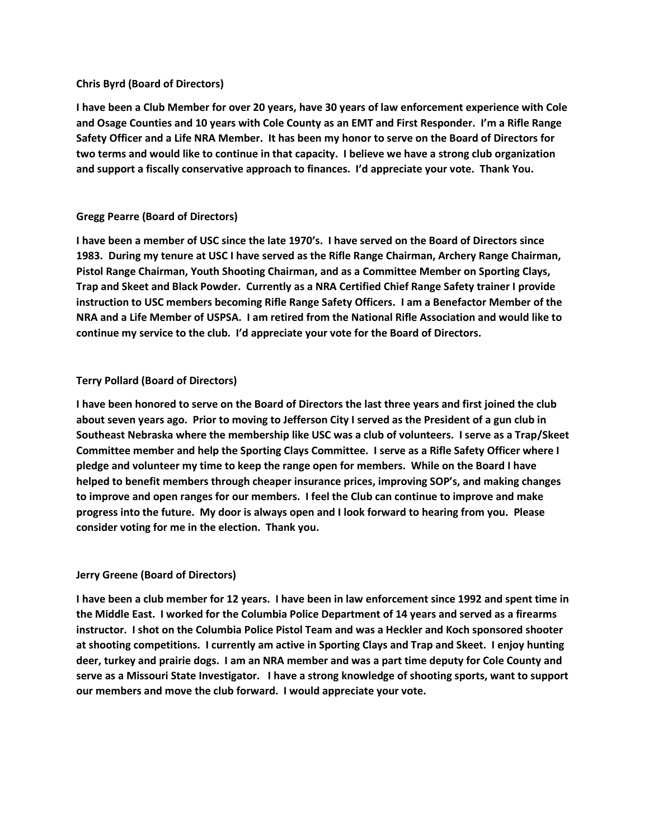#### **Chris Byrd (Board of Directors)**

**I have been a Club Member for over 20 years, have 30 years of law enforcement experience with Cole and Osage Counties and 10 years with Cole County as an EMT and First Responder. I'm a Rifle Range Safety Officer and a Life NRA Member. It has been my honor to serve on the Board of Directors for two terms and would like to continue in that capacity. I believe we have a strong club organization and support a fiscally conservative approach to finances. I'd appreciate your vote. Thank You.**

## **Gregg Pearre (Board of Directors)**

**I have been a member of USC since the late 1970's. I have served on the Board of Directors since 1983. During my tenure at USC I have served as the Rifle Range Chairman, Archery Range Chairman, Pistol Range Chairman, Youth Shooting Chairman, and as a Committee Member on Sporting Clays, Trap and Skeet and Black Powder. Currently as a NRA Certified Chief Range Safety trainer I provide instruction to USC members becoming Rifle Range Safety Officers. I am a Benefactor Member of the NRA and a Life Member of USPSA. I am retired from the National Rifle Association and would like to continue my service to the club. I'd appreciate your vote for the Board of Directors.**

## **Terry Pollard (Board of Directors)**

**I have been honored to serve on the Board of Directors the last three years and first joined the club about seven years ago. Prior to moving to Jefferson City I served as the President of a gun club in Southeast Nebraska where the membership like USC was a club of volunteers. I serve as a Trap/Skeet Committee member and help the Sporting Clays Committee. I serve as a Rifle Safety Officer where I pledge and volunteer my time to keep the range open for members. While on the Board I have helped to benefit members through cheaper insurance prices, improving SOP's, and making changes to improve and open ranges for our members. I feel the Club can continue to improve and make progress into the future. My door is always open and I look forward to hearing from you. Please consider voting for me in the election. Thank you.**

## **Jerry Greene (Board of Directors)**

**I have been a club member for 12 years. I have been in law enforcement since 1992 and spent time in the Middle East. I worked for the Columbia Police Department of 14 years and served as a firearms instructor. I shot on the Columbia Police Pistol Team and was a Heckler and Koch sponsored shooter at shooting competitions. I currently am active in Sporting Clays and Trap and Skeet. I enjoy hunting deer, turkey and prairie dogs. I am an NRA member and was a part time deputy for Cole County and serve as a Missouri State Investigator. I have a strong knowledge of shooting sports, want to support our members and move the club forward. I would appreciate your vote.**